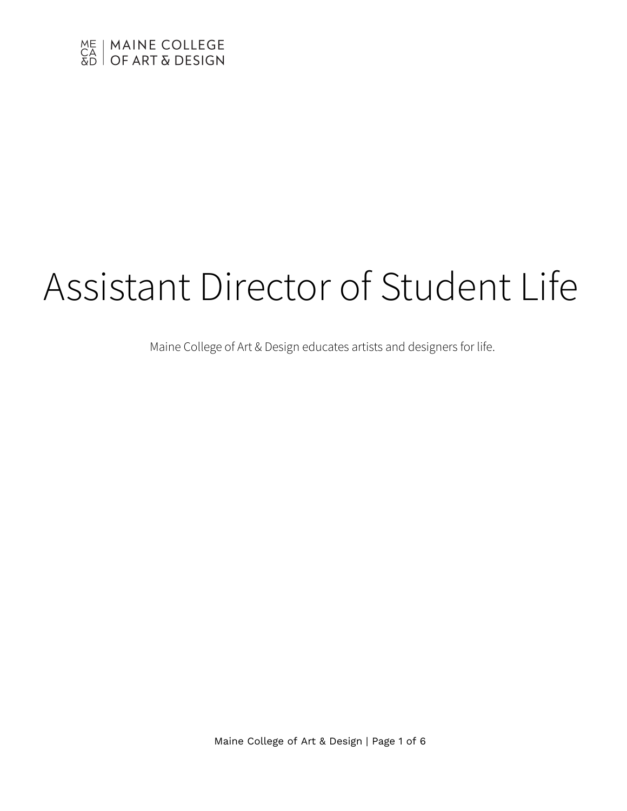

# Assistant Director of Student Life

Maine College of Art & Design educates artists and designers for life.

Maine College of Art & Design | Page 1 of 6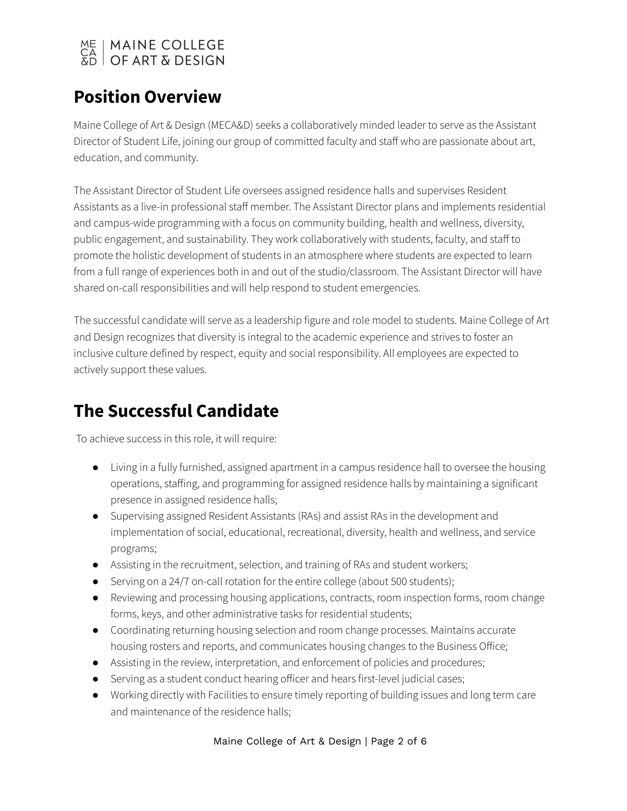

### **Position Overview**

Maine College of Art & Design (MECA&D) seeks a collaboratively minded leader to serve as the Assistant Director of Student Life, joining our group of committed faculty and staff who are passionate about art, education, and community.

The Assistant Director of Student Life oversees assigned residence halls and supervises Resident Assistants as a live-in professional staff member. The Assistant Director plans and implements residential and campus-wide programming with a focus on community building, health and wellness, diversity, public engagement, and sustainability. They work collaboratively with students, faculty, and staff to promote the holistic development of students in an atmosphere where students are expected to learn from a full range of experiences both in and out of the studio/classroom. The Assistant Director will have shared on-call responsibilities and will help respond to student emergencies.

The successful candidate will serve as a leadership figure and role model to students. Maine College of Art and Design recognizes that diversity is integral to the academic experience and strives to foster an inclusive culture defined by respect, equity and social responsibility. All employees are expected to actively support these values.

## **The Successful Candidate**

To achieve success in this role, it will require:

- Living in a fully furnished, assigned apartment in a campus residence hall to oversee the housing operations, staffing, and programming for assigned residence halls by maintaining a significant presence in assigned residence halls;
- Supervising assigned Resident Assistants (RAs) and assist RAs in the development and implementation of social, educational, recreational, diversity, health and wellness, and service programs;
- Assisting in the recruitment, selection, and training of RAs and student workers;
- Serving on a 24/7 on-call rotation for the entire college (about 500 students);
- Reviewing and processing housing applications, contracts, room inspection forms, room change forms, keys, and other administrative tasks for residential students;
- Coordinating returning housing selection and room change processes. Maintains accurate housing rosters and reports, and communicates housing changes to the Business Office;
- Assisting in the review, interpretation, and enforcement of policies and procedures;
- Serving as a student conduct hearing officer and hears first-level judicial cases;
- Working directly with Facilities to ensure timely reporting of building issues and long term care and maintenance of the residence halls;

Maine College of Art & Design | Page 2 of 6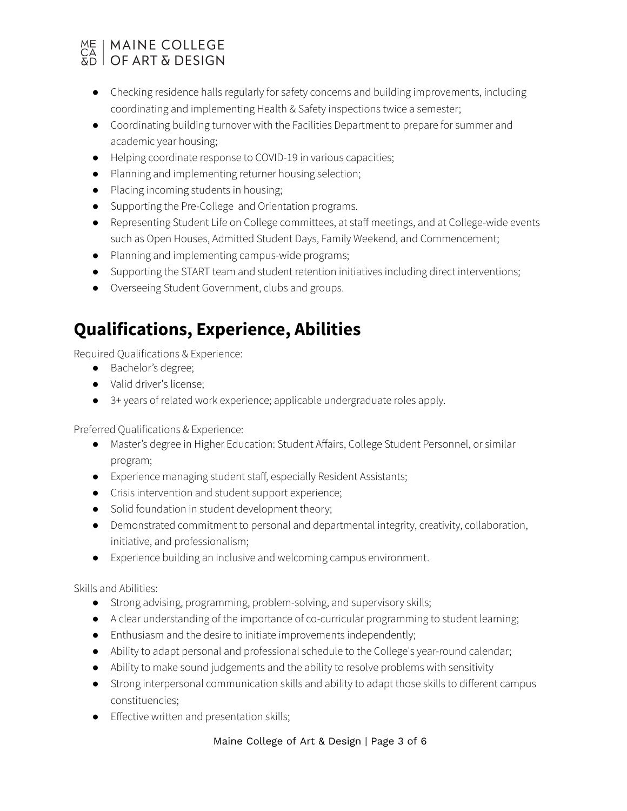## ME | MAINE COLLEGE<br>CA | OF ART & DESIGN

- Checking residence halls regularly for safety concerns and building improvements, including coordinating and implementing Health & Safety inspections twice a semester;
- Coordinating building turnover with the Facilities Department to prepare for summer and academic year housing;
- Helping coordinate response to COVID-19 in various capacities;
- Planning and implementing returner housing selection;
- Placing incoming students in housing;
- Supporting the Pre-College and Orientation programs.
- Representing Student Life on College committees, at staff meetings, and at College-wide events such as Open Houses, Admitted Student Days, Family Weekend, and Commencement;
- Planning and implementing campus-wide programs;
- Supporting the START team and student retention initiatives including direct interventions;
- Overseeing Student Government, clubs and groups.

## **Qualifications, Experience, Abilities**

Required Qualifications & Experience:

- Bachelor's degree;
- Valid driver's license;
- 3+ years of related work experience; applicable undergraduate roles apply.

Preferred Qualifications & Experience:

- Master's degree in Higher Education: Student Affairs, College Student Personnel, or similar program;
- Experience managing student staff, especially Resident Assistants;
- Crisis intervention and student support experience;
- Solid foundation in student development theory;
- Demonstrated commitment to personal and departmental integrity, creativity, collaboration, initiative, and professionalism;
- Experience building an inclusive and welcoming campus environment.

Skills and Abilities:

- Strong advising, programming, problem-solving, and supervisory skills;
- A clear understanding of the importance of co-curricular programming to student learning;
- Enthusiasm and the desire to initiate improvements independently;
- Ability to adapt personal and professional schedule to the College's year-round calendar;
- Ability to make sound judgements and the ability to resolve problems with sensitivity
- Strong interpersonal communication skills and ability to adapt those skills to different campus constituencies;
- Effective written and presentation skills;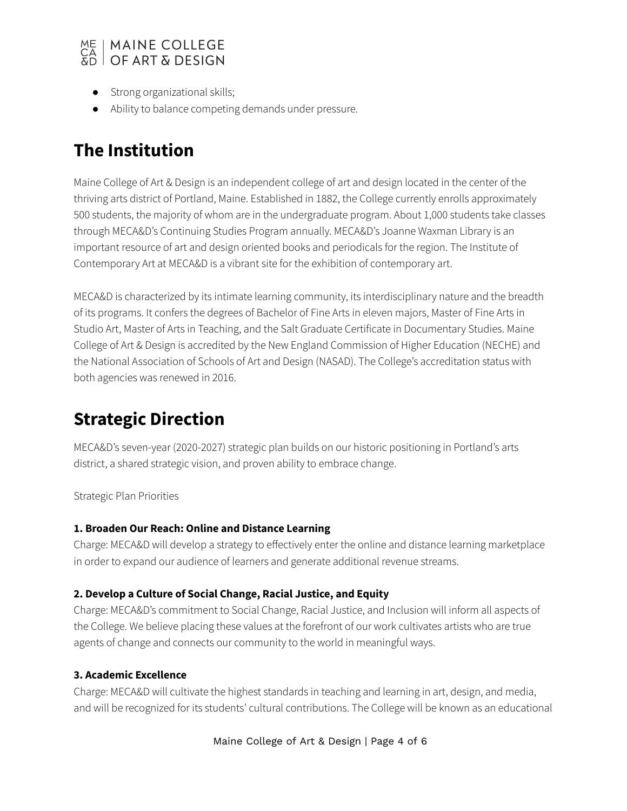

- Strong organizational skills;
- Ability to balance competing demands under pressure.

### **The Institution**

Maine College of Art & Design is an independent college of art and design located in the center of the thriving arts district of Portland, Maine. Established in 1882, the College currently enrolls approximately 500 students, the majority of whom are in the undergraduate program. About 1,000 students take classes through MECA&D's Continuing Studies Program annually. MECA&D's Joanne Waxman Library is an important resource of art and design oriented books and periodicals for the region. The Institute of Contemporary Art at MECA&D is a vibrant site for the exhibition of contemporary art.

MECA&D is characterized by its intimate learning community, its interdisciplinary nature and the breadth of its programs. It confers the degrees of Bachelor of Fine Arts in eleven majors, Master of Fine Arts in Studio Art, Master of Arts in Teaching, and the Salt Graduate Certificate in Documentary Studies. Maine College of Art & Design is accredited by the New England Commission of Higher Education (NECHE) and the National Association of Schools of Art and Design (NASAD). The College's accreditation status with both agencies was renewed in 2016.

## **Strategic Direction**

MECA&D's seven-year (2020-2027) strategic plan builds on our historic positioning in Portland's arts district, a shared strategic vision, and proven ability to embrace change.

Strategic Plan Priorities

#### **1. Broaden Our Reach: Online and Distance Learning**

Charge: MECA&D will develop a strategy to effectively enter the online and distance learning marketplace in order to expand our audience of learners and generate additional revenue streams.

#### **2. Develop a Culture of Social Change, Racial Justice, and Equity**

Charge: MECA&D's commitment to Social Change, Racial Justice, and Inclusion will inform all aspects of the College. We believe placing these values at the forefront of our work cultivates artists who are true agents of change and connects our community to the world in meaningful ways.

#### **3. Academic Excellence**

Charge: MECA&D will cultivate the highest standards in teaching and learning in art, design, and media, and will be recognized for its students' cultural contributions. The College will be known as an educational

Maine College of Art & Design | Page 4 of 6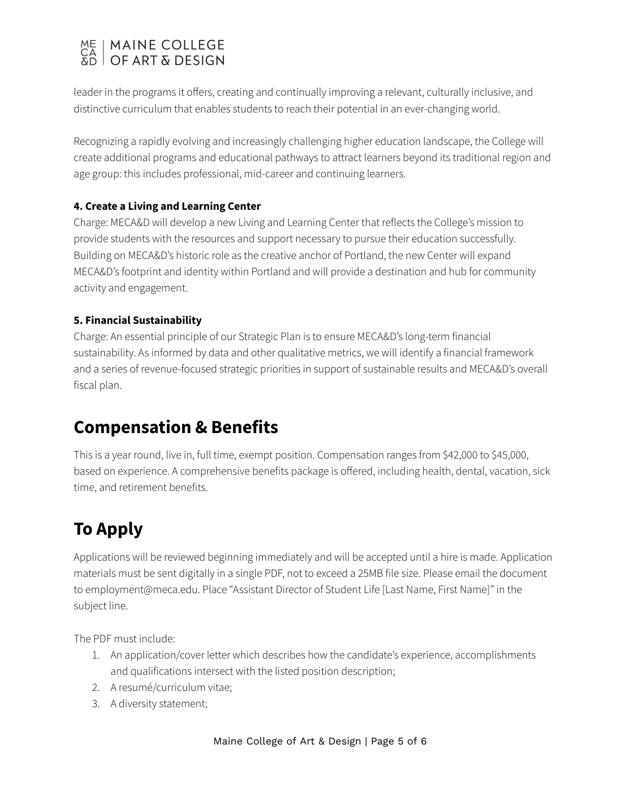## ME | MAINE COLLEGE<br>CA | OF ART & DESIGN

leader in the programs it offers, creating and continually improving a relevant, culturally inclusive, and distinctive curriculum that enables students to reach their potential in an ever-changing world.

Recognizing a rapidly evolving and increasingly challenging higher education landscape, the College will create additional programs and educational pathways to attract learners beyond its traditional region and age group: this includes professional, mid-career and continuing learners.

#### **4. Create a Living and Learning Center**

Charge: MECA&D will develop a new Living and Learning Center that reflects the College's mission to provide students with the resources and support necessary to pursue their education successfully. Building on MECA&D's historic role as the creative anchor of Portland, the new Center will expand MECA&D's footprint and identity within Portland and will provide a destination and hub for community activity and engagement.

#### **5. Financial Sustainability**

Charge: An essential principle of our Strategic Plan is to ensure MECA&D's long-term financial sustainability. As informed by data and other qualitative metrics, we will identify a financial framework and a series of revenue-focused strategic priorities in support of sustainable results and MECA&D's overall fiscal plan.

### **Compensation & Benefits**

This is a year round, live in, full time, exempt position. Compensation ranges from \$42,000 to \$45,000, based on experience. A comprehensive benefits package is offered, including health, dental, vacation, sick time, and retirement benefits.

## **To Apply**

Applications will be reviewed beginning immediately and will be accepted until a hire is made. Application materials must be sent digitally in a single PDF, not to exceed a 25MB file size. Please email the document to employment@meca.edu. Place "Assistant Director of Student Life [Last Name, First Name]" in the subject line.

The PDF must include:

- 1. An application/cover letter which describes how the candidate's experience, accomplishments and qualifications intersect with the listed position description;
- 2. A resumé/curriculum vitae;
- 3. A diversity statement;